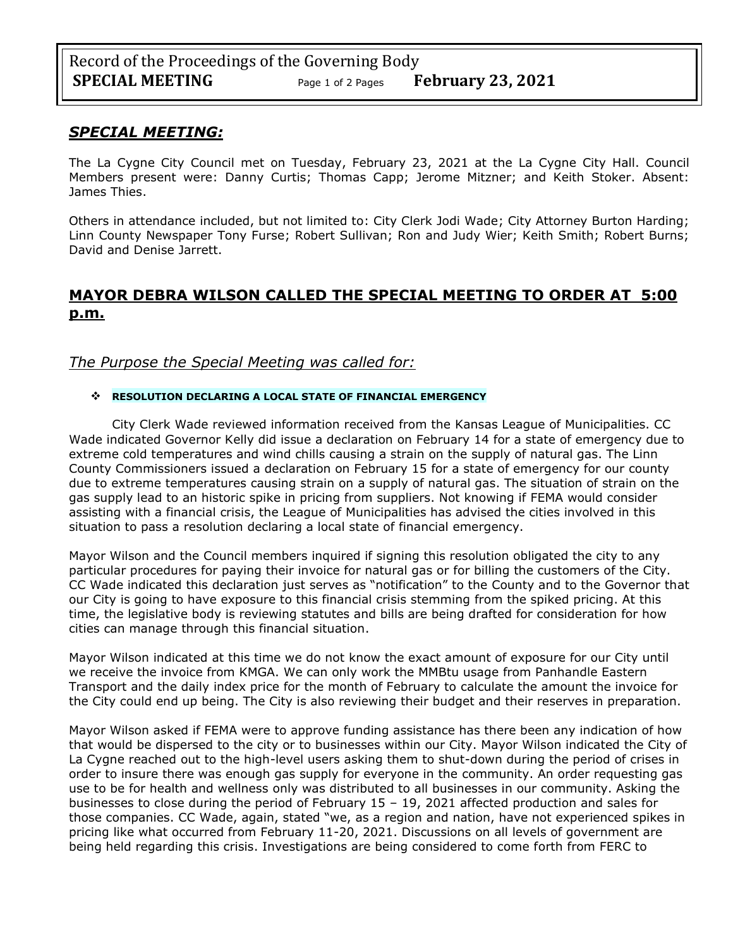### *SPECIAL MEETING:*

The La Cygne City Council met on Tuesday, February 23, 2021 at the La Cygne City Hall. Council Members present were: Danny Curtis; Thomas Capp; Jerome Mitzner; and Keith Stoker. Absent: James Thies.

Others in attendance included, but not limited to: City Clerk Jodi Wade; City Attorney Burton Harding; Linn County Newspaper Tony Furse; Robert Sullivan; Ron and Judy Wier; Keith Smith; Robert Burns; David and Denise Jarrett.

# **MAYOR DEBRA WILSON CALLED THE SPECIAL MEETING TO ORDER AT 5:00 p.m.**

### *The Purpose the Special Meeting was called for:*

#### ❖ **RESOLUTION DECLARING A LOCAL STATE OF FINANCIAL EMERGENCY**

City Clerk Wade reviewed information received from the Kansas League of Municipalities. CC Wade indicated Governor Kelly did issue a declaration on February 14 for a state of emergency due to extreme cold temperatures and wind chills causing a strain on the supply of natural gas. The Linn County Commissioners issued a declaration on February 15 for a state of emergency for our county due to extreme temperatures causing strain on a supply of natural gas. The situation of strain on the gas supply lead to an historic spike in pricing from suppliers. Not knowing if FEMA would consider assisting with a financial crisis, the League of Municipalities has advised the cities involved in this situation to pass a resolution declaring a local state of financial emergency.

Mayor Wilson and the Council members inquired if signing this resolution obligated the city to any particular procedures for paying their invoice for natural gas or for billing the customers of the City. CC Wade indicated this declaration just serves as "notification" to the County and to the Governor that our City is going to have exposure to this financial crisis stemming from the spiked pricing. At this time, the legislative body is reviewing statutes and bills are being drafted for consideration for how cities can manage through this financial situation.

Mayor Wilson indicated at this time we do not know the exact amount of exposure for our City until we receive the invoice from KMGA. We can only work the MMBtu usage from Panhandle Eastern Transport and the daily index price for the month of February to calculate the amount the invoice for the City could end up being. The City is also reviewing their budget and their reserves in preparation.

Mayor Wilson asked if FEMA were to approve funding assistance has there been any indication of how that would be dispersed to the city or to businesses within our City. Mayor Wilson indicated the City of La Cygne reached out to the high-level users asking them to shut-down during the period of crises in order to insure there was enough gas supply for everyone in the community. An order requesting gas use to be for health and wellness only was distributed to all businesses in our community. Asking the businesses to close during the period of February 15 – 19, 2021 affected production and sales for those companies. CC Wade, again, stated "we, as a region and nation, have not experienced spikes in pricing like what occurred from February 11-20, 2021. Discussions on all levels of government are being held regarding this crisis. Investigations are being considered to come forth from FERC to